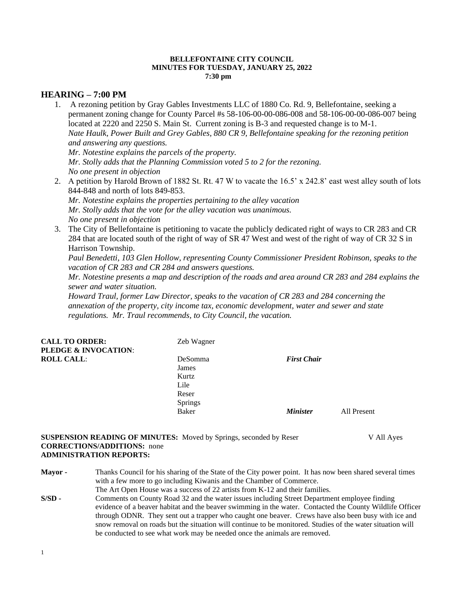#### **BELLEFONTAINE CITY COUNCIL MINUTES FOR TUESDAY, JANUARY 25, 2022 7:30 pm**

# **HEARING – 7:00 PM**

1. A rezoning petition by Gray Gables Investments LLC of 1880 Co. Rd. 9, Bellefontaine, seeking a permanent zoning change for County Parcel #s 58-106-00-00-086-008 and 58-106-00-00-086-007 being located at 2220 and 2250 S. Main St. Current zoning is B-3 and requested change is to M-1. *Nate Haulk, Power Built and Grey Gables, 880 CR 9, Bellefontaine speaking for the rezoning petition and answering any questions. Mr. Notestine explains the parcels of the property.*

*Mr. Stolly adds that the Planning Commission voted 5 to 2 for the rezoning. No one present in objection*

2. A petition by Harold Brown of 1882 St. Rt. 47 W to vacate the 16.5' x 242.8' east west alley south of lots 844-848 and north of lots 849-853.

*Mr. Notestine explains the properties pertaining to the alley vacation Mr. Stolly adds that the vote for the alley vacation was unanimous. No one present in objection* 

3. The City of Bellefontaine is petitioning to vacate the publicly dedicated right of ways to CR 283 and CR 284 that are located south of the right of way of SR 47 West and west of the right of way of CR 32 S in Harrison Township.

*Paul Benedetti, 103 Glen Hollow, representing County Commissioner President Robinson, speaks to the vacation of CR 283 and CR 284 and answers questions.*

*Mr. Notestine presents a map and description of the roads and area around CR 283 and 284 explains the sewer and water situation.*

*Howard Traul, former Law Director, speaks to the vacation of CR 283 and 284 concerning the annexation of the property, city income tax, economic development, water and sewer and state regulations. Mr. Traul recommends, to City Council, the vacation.*

| <b>CALL TO ORDER:</b><br>PLEDGE & INVOCATION: | Zeb Wagner     |                    |             |
|-----------------------------------------------|----------------|--------------------|-------------|
| <b>ROLL CALL:</b>                             | <b>DeSomma</b> | <b>First Chair</b> |             |
|                                               | James          |                    |             |
|                                               | Kurtz          |                    |             |
|                                               | Lile           |                    |             |
|                                               | Reser          |                    |             |
|                                               | <b>Springs</b> |                    |             |
|                                               | <b>Baker</b>   | <b>Minister</b>    | All Present |
|                                               |                |                    |             |

**SUSPENSION READING OF MINUTES:** Moved by Springs, seconded by Reser V All Ayes **CORRECTIONS/ADDITIONS:** none **ADMINISTRATION REPORTS:**

- **Mayor -** Thanks Council for his sharing of the State of the City power point. It has now been shared several times with a few more to go including Kiwanis and the Chamber of Commerce. The Art Open House was a success of 22 artists from K-12 and their families.
- **S/SD -** Comments on County Road 32 and the water issues including Street Department employee finding evidence of a beaver habitat and the beaver swimming in the water. Contacted the County Wildlife Officer through ODNR. They sent out a trapper who caught one beaver. Crews have also been busy with ice and snow removal on roads but the situation will continue to be monitored. Studies of the water situation will be conducted to see what work may be needed once the animals are removed.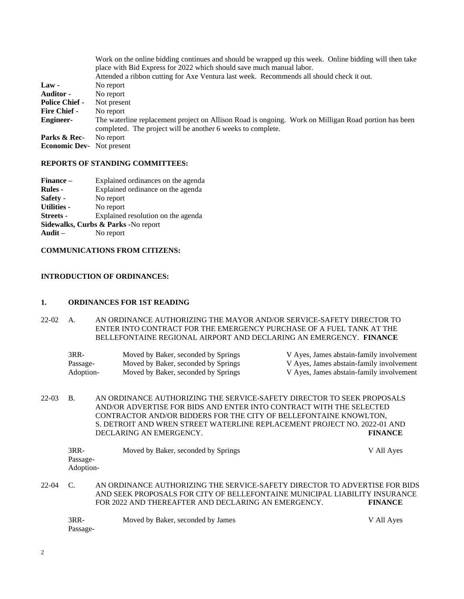| Work on the online bidding continues and should be wrapped up this week. Online bidding will then take                                                              |  |  |  |  |
|---------------------------------------------------------------------------------------------------------------------------------------------------------------------|--|--|--|--|
| place with Bid Express for 2022 which should save much manual labor.                                                                                                |  |  |  |  |
| Attended a ribbon cutting for Axe Ventura last week. Recommends all should check it out.                                                                            |  |  |  |  |
| No report                                                                                                                                                           |  |  |  |  |
| No report                                                                                                                                                           |  |  |  |  |
| Not present                                                                                                                                                         |  |  |  |  |
| No report                                                                                                                                                           |  |  |  |  |
| The waterline replacement project on Allison Road is ongoing. Work on Milligan Road portion has been<br>completed. The project will be another 6 weeks to complete. |  |  |  |  |
| No report                                                                                                                                                           |  |  |  |  |
| Not present                                                                                                                                                         |  |  |  |  |
|                                                                                                                                                                     |  |  |  |  |

#### **REPORTS OF STANDING COMMITTEES:**

| Finance –                           | Explained ordinances on the agenda |  |  |
|-------------------------------------|------------------------------------|--|--|
| <b>Rules</b> -                      | Explained ordinance on the agenda  |  |  |
| Safety -                            | No report                          |  |  |
| <b>Utilities -</b>                  | No report                          |  |  |
| <b>Streets</b> -                    | Explained resolution on the agenda |  |  |
| Sidewalks, Curbs & Parks -No report |                                    |  |  |
| Audit $-$                           | No report                          |  |  |
|                                     |                                    |  |  |

## **COMMUNICATIONS FROM CITIZENS:**

### **INTRODUCTION OF ORDINANCES:**

#### **1. ORDINANCES FOR 1ST READING**

22-02 A. AN ORDINANCE AUTHORIZING THE MAYOR AND/OR SERVICE-SAFETY DIRECTOR TO ENTER INTO CONTRACT FOR THE EMERGENCY PURCHASE OF A FUEL TANK AT THE BELLEFONTAINE REGIONAL AIRPORT AND DECLARING AN EMERGENCY. **FINANCE**

| 3RR-      | Moved by Baker, seconded by Springs | V Ayes, James abstain-family involvement |
|-----------|-------------------------------------|------------------------------------------|
| Passage-  | Moved by Baker, seconded by Springs | V Ayes, James abstain-family involvement |
| Adoption- | Moved by Baker, seconded by Springs | V Ayes, James abstain-family involvement |

22-03 B. AN ORDINANCE AUTHORIZING THE SERVICE-SAFETY DIRECTOR TO SEEK PROPOSALS AND/OR ADVERTISE FOR BIDS AND ENTER INTO CONTRACT WITH THE SELECTED CONTRACTOR AND/OR BIDDERS FOR THE CITY OF BELLEFONTAINE KNOWLTON, S. DETROIT AND WREN STREET WATERLINE REPLACEMENT PROJECT NO. 2022-01 AND DECLARING AN EMERGENCY. **FINANCE**

|       | 3RR-<br>Passage-<br>Adoption- | Moved by Baker, seconded by Springs                                        | V All Ayes |
|-------|-------------------------------|----------------------------------------------------------------------------|------------|
| 22-04 |                               | AN ORDINANCE AUTHORIZING THE SERVICE-SAFETY DIRECTOR TO ADVERTISE FOR BIDS |            |

AND SEEK PROPOSALS FOR CITY OF BELLEFONTAINE MUNICIPAL LIABILITY INSURANCE FOR 2022 AND THEREAFTER AND DECLARING AN EMERGENCY. **FINANCE**

| 3RR-     | Moved by Baker, seconded by James | V All Ayes |
|----------|-----------------------------------|------------|
| Passage- |                                   |            |